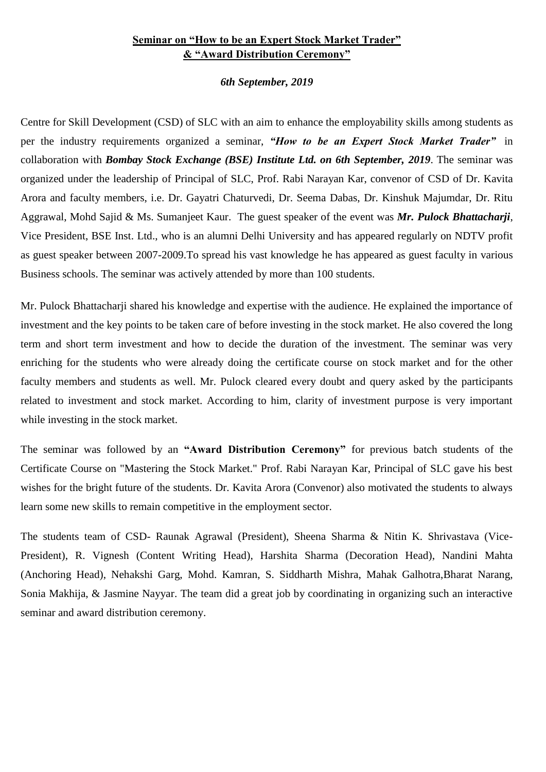## **Seminar on "How to be an Expert Stock Market Trader" & "Award Distribution Ceremony"**

## *6th September, 2019*

Centre for Skill Development (CSD) of SLC with an aim to enhance the employability skills among students as per the industry requirements organized a seminar, *"How to be an Expert Stock Market Trader"* in collaboration with *Bombay Stock Exchange (BSE) Institute Ltd. on 6th September, 2019*. The seminar was organized under the leadership of Principal of SLC, Prof. Rabi Narayan Kar, convenor of CSD of Dr. Kavita Arora and faculty members, i.e. Dr. Gayatri Chaturvedi, Dr. Seema Dabas, Dr. Kinshuk Majumdar, Dr. Ritu Aggrawal, Mohd Sajid & Ms. Sumanjeet Kaur. The guest speaker of the event was *Mr. Pulock Bhattacharji*, Vice President, BSE Inst. Ltd., who is an alumni Delhi University and has appeared regularly on NDTV profit as guest speaker between 2007-2009.To spread his vast knowledge he has appeared as guest faculty in various Business schools. The seminar was actively attended by more than 100 students.

Mr. Pulock Bhattacharji shared his knowledge and expertise with the audience. He explained the importance of investment and the key points to be taken care of before investing in the stock market. He also covered the long term and short term investment and how to decide the duration of the investment. The seminar was very enriching for the students who were already doing the certificate course on stock market and for the other faculty members and students as well. Mr. Pulock cleared every doubt and query asked by the participants related to investment and stock market. According to him, clarity of investment purpose is very important while investing in the stock market.

The seminar was followed by an **"Award Distribution Ceremony"** for previous batch students of the Certificate Course on "Mastering the Stock Market." Prof. Rabi Narayan Kar, Principal of SLC gave his best wishes for the bright future of the students. Dr. Kavita Arora (Convenor) also motivated the students to always learn some new skills to remain competitive in the employment sector.

The students team of CSD- Raunak Agrawal (President), Sheena Sharma & Nitin K. Shrivastava (Vice-President), R. Vignesh (Content Writing Head), Harshita Sharma (Decoration Head), Nandini Mahta (Anchoring Head), Nehakshi Garg, Mohd. Kamran, S. Siddharth Mishra, Mahak Galhotra,Bharat Narang, Sonia Makhija, & Jasmine Nayyar. The team did a great job by coordinating in organizing such an interactive seminar and award distribution ceremony.